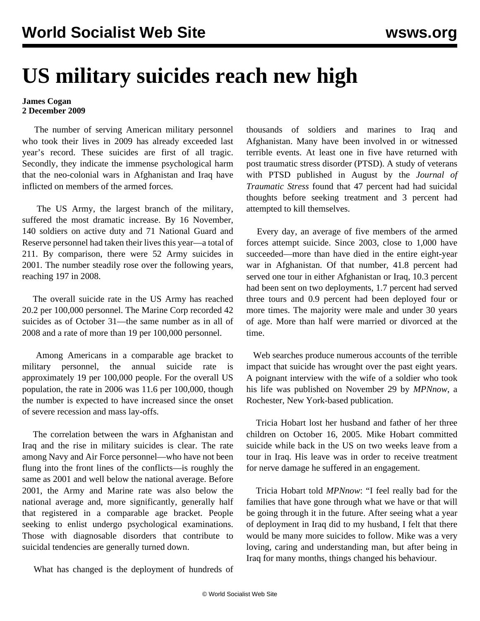## **US military suicides reach new high**

## **James Cogan 2 December 2009**

 The number of serving American military personnel who took their lives in 2009 has already exceeded last year's record. These suicides are first of all tragic. Secondly, they indicate the immense psychological harm that the neo-colonial wars in Afghanistan and Iraq have inflicted on members of the armed forces.

 The US Army, the largest branch of the military, suffered the most dramatic increase. By 16 November, 140 soldiers on active duty and 71 National Guard and Reserve personnel had taken their lives this year—a total of 211. By comparison, there were 52 Army suicides in 2001. The number steadily rose over the following years, reaching 197 in 2008.

 The overall suicide rate in the US Army has reached 20.2 per 100,000 personnel. The Marine Corp recorded 42 suicides as of October 31—the same number as in all of 2008 and a rate of more than 19 per 100,000 personnel.

 Among Americans in a comparable age bracket to military personnel, the annual suicide rate is approximately 19 per 100,000 people. For the overall US population, the rate in 2006 was 11.6 per 100,000, though the number is expected to have increased since the onset of severe recession and mass lay-offs.

 The correlation between the wars in Afghanistan and Iraq and the rise in military suicides is clear. The rate among Navy and Air Force personnel—who have not been flung into the front lines of the conflicts—is roughly the same as 2001 and well below the national average. Before 2001, the Army and Marine rate was also below the national average and, more significantly, generally half that registered in a comparable age bracket. People seeking to enlist undergo psychological examinations. Those with diagnosable disorders that contribute to suicidal tendencies are generally turned down.

What has changed is the deployment of hundreds of

thousands of soldiers and marines to Iraq and Afghanistan. Many have been involved in or witnessed terrible events. At least one in five have returned with post traumatic stress disorder (PTSD). A study of veterans with PTSD published in August by the *Journal of Traumatic Stress* found that 47 percent had had suicidal thoughts before seeking treatment and 3 percent had attempted to kill themselves.

 Every day, an average of five members of the armed forces attempt suicide. Since 2003, close to 1,000 have succeeded—more than have died in the entire eight-year war in Afghanistan. Of that number, 41.8 percent had served one tour in either Afghanistan or Iraq, 10.3 percent had been sent on two deployments, 1.7 percent had served three tours and 0.9 percent had been deployed four or more times. The majority were male and under 30 years of age. More than half were married or divorced at the time.

 Web searches produce numerous accounts of the terrible impact that suicide has wrought over the past eight years. A poignant interview with the wife of a soldier who took his life was published on November 29 by *MPNnow*, a Rochester, New York-based publication.

 Tricia Hobart lost her husband and father of her three children on October 16, 2005. Mike Hobart committed suicide while back in the US on two weeks leave from a tour in Iraq. His leave was in order to receive treatment for nerve damage he suffered in an engagement.

 Tricia Hobart told *MPNnow*: "I feel really bad for the families that have gone through what we have or that will be going through it in the future. After seeing what a year of deployment in Iraq did to my husband, I felt that there would be many more suicides to follow. Mike was a very loving, caring and understanding man, but after being in Iraq for many months, things changed his behaviour.